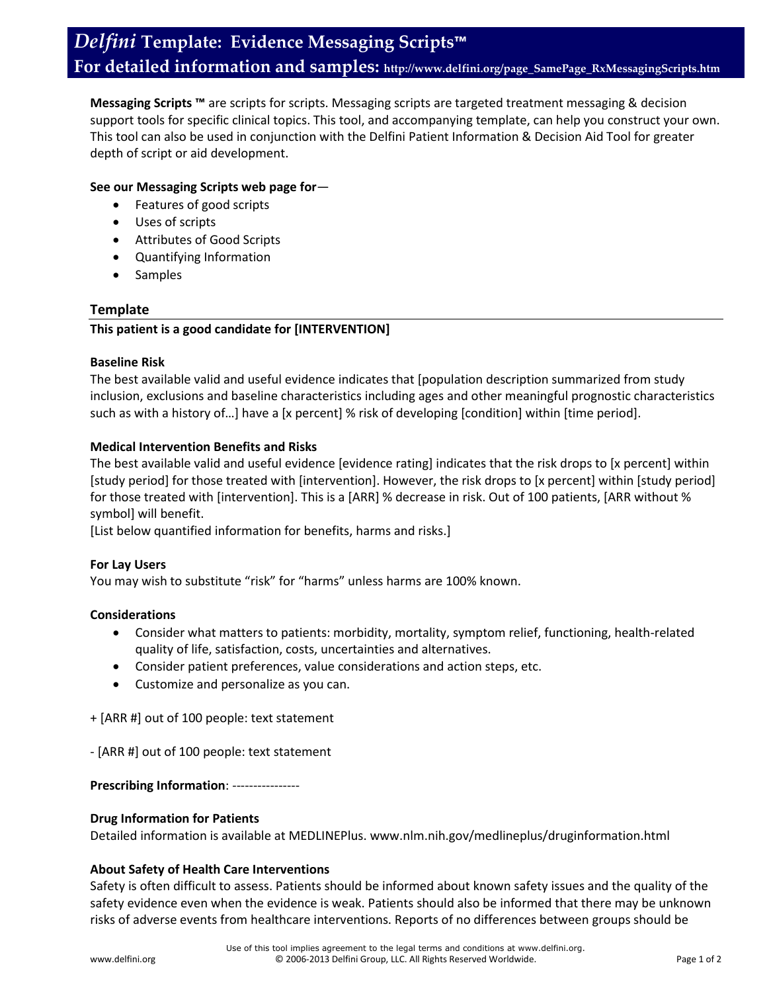**Messaging Scripts ™** are scripts for scripts. Messaging scripts are targeted treatment messaging & decision support tools for specific clinical topics. This tool, and accompanying template, can help you construct your own. This tool can also be used in conjunction with the Delfini Patient Information & Decision Aid Tool for greater depth of script or aid development.

### **See our Messaging Scripts web page for**—

- Features of good scripts
- Uses of scripts
- Attributes of Good Scripts
- Quantifying Information
- Samples

# **Template**

# **This patient is a good candidate for [INTERVENTION]**

#### **Baseline Risk**

The best available valid and useful evidence indicates that [population description summarized from study inclusion, exclusions and baseline characteristics including ages and other meaningful prognostic characteristics such as with a history of…] have a [x percent] % risk of developing [condition] within [time period].

### **Medical Intervention Benefits and Risks**

The best available valid and useful evidence [evidence rating] indicates that the risk drops to [x percent] within [study period] for those treated with [intervention]. However, the risk drops to [x percent] within [study period] for those treated with [intervention]. This is a [ARR] % decrease in risk. Out of 100 patients, [ARR without % symbol] will benefit.

[List below quantified information for benefits, harms and risks.]

### **For Lay Users**

You may wish to substitute "risk" for "harms" unless harms are 100% known.

### **Considerations**

- Consider what matters to patients: morbidity, mortality, symptom relief, functioning, health-related quality of life, satisfaction, costs, uncertainties and alternatives.
- Consider patient preferences, value considerations and action steps, etc.
- Customize and personalize as you can.

+ [ARR #] out of 100 people: text statement

- [ARR #] out of 100 people: text statement

**Prescribing Information**: ----------------

### **Drug Information for Patients**

Detailed information is available at MEDLINEPlus. www.nlm.nih.gov/medlineplus/druginformation.html

### **About Safety of Health Care Interventions**

Safety is often difficult to assess. Patients should be informed about known safety issues and the quality of the safety evidence even when the evidence is weak. Patients should also be informed that there may be unknown risks of adverse events from healthcare interventions. Reports of no differences between groups should be